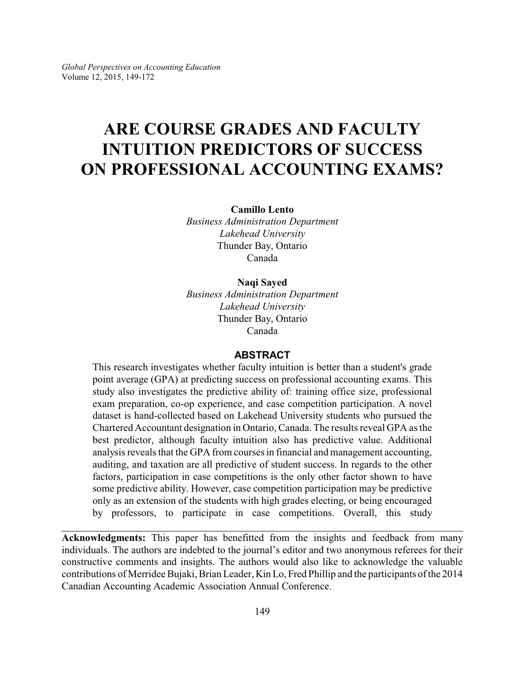# **ARE COURSE GRADES AND FACULTY INTUITION PREDICTORS OF SUCCESS ON PROFESSIONAL ACCOUNTING EXAMS?**

**Camillo Lento**

*Business Administration Department Lakehead University* Thunder Bay, Ontario Canada

#### **Naqi Sayed**

*Business Administration Department Lakehead University* Thunder Bay, Ontario Canada

#### **ABSTRACT**

This research investigates whether faculty intuition is better than a student's grade point average (GPA) at predicting success on professional accounting exams. This study also investigates the predictive ability of: training office size, professional exam preparation, co-op experience, and case competition participation. A novel dataset is hand-collected based on Lakehead University students who pursued the Chartered Accountant designation in Ontario, Canada. The results reveal GPA as the best predictor, although faculty intuition also has predictive value. Additional analysis reveals that the GPA from courses in financial and management accounting, auditing, and taxation are all predictive of student success. In regards to the other factors, participation in case competitions is the only other factor shown to have some predictive ability. However, case competition participation may be predictive only as an extension of the students with high grades electing, or being encouraged by professors, to participate in case competitions. Overall, this study

**Acknowledgments:** This paper has benefitted from the insights and feedback from many individuals. The authors are indebted to the journal's editor and two anonymous referees for their constructive comments and insights. The authors would also like to acknowledge the valuable contributions of Merridee Bujaki, Brian Leader, Kin Lo, Fred Phillip and the participants of the 2014 Canadian Accounting Academic Association Annual Conference.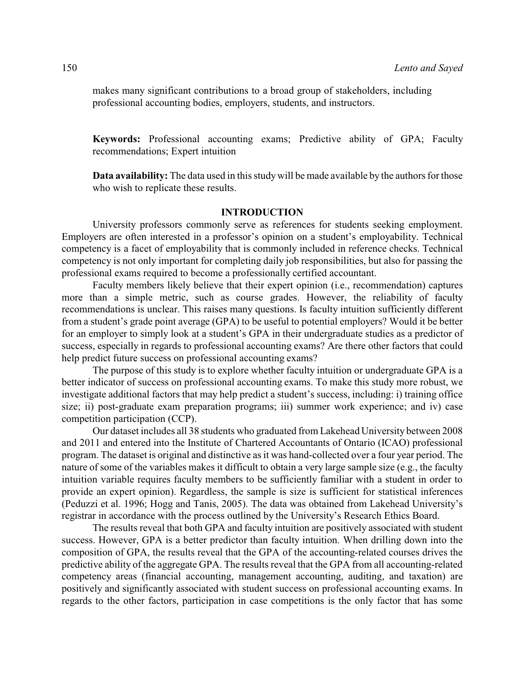makes many significant contributions to a broad group of stakeholders, including professional accounting bodies, employers, students, and instructors.

**Keywords:** Professional accounting exams; Predictive ability of GPA; Faculty recommendations; Expert intuition

**Data availability:** The data used in this studywill be made available by the authors for those who wish to replicate these results.

#### **INTRODUCTION**

University professors commonly serve as references for students seeking employment. Employers are often interested in a professor's opinion on a student's employability. Technical competency is a facet of employability that is commonly included in reference checks. Technical competency is not only important for completing daily job responsibilities, but also for passing the professional exams required to become a professionally certified accountant.

Faculty members likely believe that their expert opinion (i.e., recommendation) captures more than a simple metric, such as course grades. However, the reliability of faculty recommendations is unclear. This raises many questions. Is faculty intuition sufficiently different from a student's grade point average (GPA) to be useful to potential employers? Would it be better for an employer to simply look at a student's GPA in their undergraduate studies as a predictor of success, especially in regards to professional accounting exams? Are there other factors that could help predict future success on professional accounting exams?

The purpose of this study is to explore whether faculty intuition or undergraduate GPA is a better indicator of success on professional accounting exams. To make this study more robust, we investigate additional factors that may help predict a student's success, including: i) training office size; ii) post-graduate exam preparation programs; iii) summer work experience; and iv) case competition participation (CCP).

Our dataset includes all 38 students who graduated from Lakehead University between 2008 and 2011 and entered into the Institute of Chartered Accountants of Ontario (ICAO) professional program. The dataset is original and distinctive as it was hand-collected over a four year period. The nature of some of the variables makes it difficult to obtain a very large sample size (e.g., the faculty intuition variable requires faculty members to be sufficiently familiar with a student in order to provide an expert opinion). Regardless, the sample is size is sufficient for statistical inferences (Peduzzi et al. 1996; Hogg and Tanis, 2005). The data was obtained from Lakehead University's registrar in accordance with the process outlined by the University's Research Ethics Board.

The results reveal that both GPA and faculty intuition are positively associated with student success. However, GPA is a better predictor than faculty intuition. When drilling down into the composition of GPA, the results reveal that the GPA of the accounting-related courses drives the predictive ability of the aggregate GPA. The results reveal that the GPA from all accounting-related competency areas (financial accounting, management accounting, auditing, and taxation) are positively and significantly associated with student success on professional accounting exams. In regards to the other factors, participation in case competitions is the only factor that has some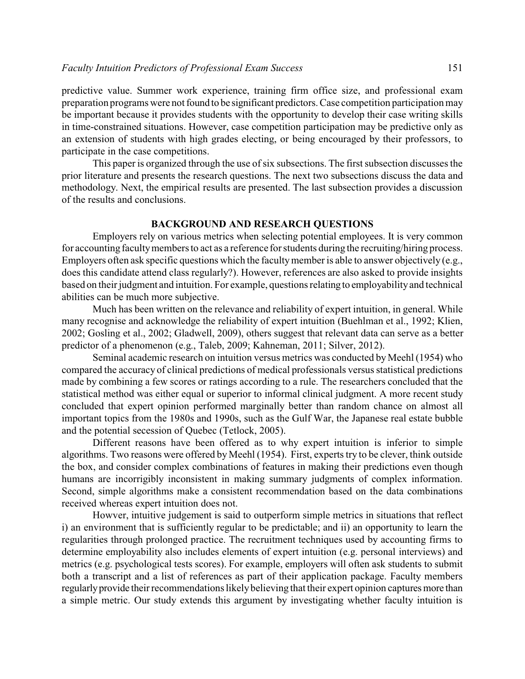predictive value. Summer work experience, training firm office size, and professional exam preparation programs were not found to be significant predictors. Case competition participation may be important because it provides students with the opportunity to develop their case writing skills in time-constrained situations. However, case competition participation may be predictive only as an extension of students with high grades electing, or being encouraged by their professors, to participate in the case competitions.

This paper is organized through the use of six subsections. The first subsection discusses the prior literature and presents the research questions. The next two subsections discuss the data and methodology. Next, the empirical results are presented. The last subsection provides a discussion of the results and conclusions.

#### **BACKGROUND AND RESEARCH QUESTIONS**

Employers rely on various metrics when selecting potential employees. It is very common for accounting facultymembers to act as a reference for students during the recruiting/hiring process. Employers often ask specific questions which the faculty member is able to answer objectively (e.g., does this candidate attend class regularly?). However, references are also asked to provide insights based on their judgment and intuition. For example, questions relatingto employabilityand technical abilities can be much more subjective.

Much has been written on the relevance and reliability of expert intuition, in general. While many recognise and acknowledge the reliability of expert intuition (Buehlman et al., 1992; Klien, 2002; Gosling et al., 2002; Gladwell, 2009), others suggest that relevant data can serve as a better predictor of a phenomenon (e.g., Taleb, 2009; Kahneman, 2011; Silver, 2012).

Seminal academic research on intuition versus metrics was conducted by Meehl (1954) who compared the accuracy of clinical predictions of medical professionals versus statistical predictions made by combining a few scores or ratings according to a rule. The researchers concluded that the statistical method was either equal or superior to informal clinical judgment. A more recent study concluded that expert opinion performed marginally better than random chance on almost all important topics from the 1980s and 1990s, such as the Gulf War, the Japanese real estate bubble and the potential secession of Quebec (Tetlock, 2005).

Different reasons have been offered as to why expert intuition is inferior to simple algorithms. Two reasons were offered by Meehl (1954). First, experts try to be clever, think outside the box, and consider complex combinations of features in making their predictions even though humans are incorrigibly inconsistent in making summary judgments of complex information. Second, simple algorithms make a consistent recommendation based on the data combinations received whereas expert intuition does not.

Howver, intuitive judgement is said to outperform simple metrics in situations that reflect i) an environment that is sufficiently regular to be predictable; and ii) an opportunity to learn the regularities through prolonged practice. The recruitment techniques used by accounting firms to determine employability also includes elements of expert intuition (e.g. personal interviews) and metrics (e.g. psychological tests scores). For example, employers will often ask students to submit both a transcript and a list of references as part of their application package. Faculty members regularly provide their recommendations likely believing that their expert opinion captures more than a simple metric. Our study extends this argument by investigating whether faculty intuition is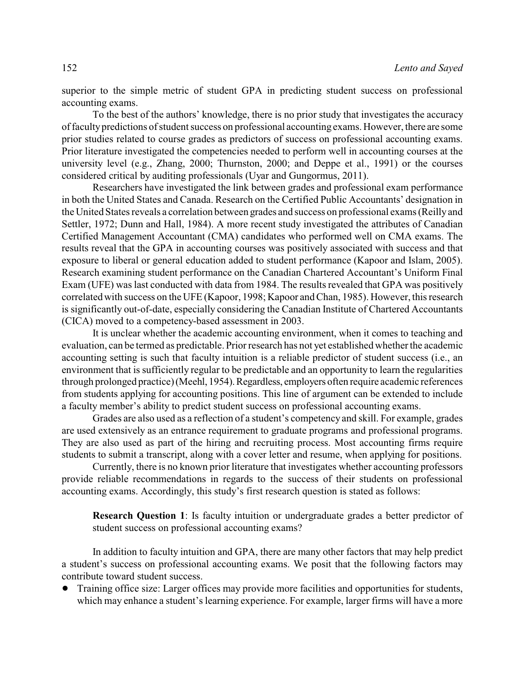superior to the simple metric of student GPA in predicting student success on professional accounting exams.

To the best of the authors' knowledge, there is no prior study that investigates the accuracy of facultypredictions of student success on professional accounting exams. However, there are some prior studies related to course grades as predictors of success on professional accounting exams. Prior literature investigated the competencies needed to perform well in accounting courses at the university level (e.g., Zhang, 2000; Thurnston, 2000; and Deppe et al., 1991) or the courses considered critical by auditing professionals (Uyar and Gungormus, 2011).

Researchers have investigated the link between grades and professional exam performance in both the United States and Canada. Research on the Certified Public Accountants' designation in the United States reveals a correlation between grades and success on professional exams (Reillyand Settler, 1972; Dunn and Hall, 1984). A more recent study investigated the attributes of Canadian Certified Management Accountant (CMA) candidates who performed well on CMA exams. The results reveal that the GPA in accounting courses was positively associated with success and that exposure to liberal or general education added to student performance (Kapoor and Islam, 2005). Research examining student performance on the Canadian Chartered Accountant's Uniform Final Exam (UFE) was last conducted with data from 1984. The results revealed that GPA was positively correlated with success on the UFE (Kapoor, 1998; Kapoor and Chan, 1985). However, this research is significantly out-of-date, especially considering the Canadian Institute of Chartered Accountants (CICA) moved to a competency-based assessment in 2003.

It is unclear whether the academic accounting environment, when it comes to teaching and evaluation, can be termed as predictable. Prior research has not yet established whether the academic accounting setting is such that faculty intuition is a reliable predictor of student success (i.e., an environment that is sufficiently regular to be predictable and an opportunity to learn the regularities through prolonged practice) (Meehl, 1954). Regardless, employers often require academic references from students applying for accounting positions. This line of argument can be extended to include a faculty member's ability to predict student success on professional accounting exams.

Grades are also used as a reflection of a student's competency and skill. For example, grades are used extensively as an entrance requirement to graduate programs and professional programs. They are also used as part of the hiring and recruiting process. Most accounting firms require students to submit a transcript, along with a cover letter and resume, when applying for positions.

Currently, there is no known prior literature that investigates whether accounting professors provide reliable recommendations in regards to the success of their students on professional accounting exams. Accordingly, this study's first research question is stated as follows:

**Research Question 1**: Is faculty intuition or undergraduate grades a better predictor of student success on professional accounting exams?

In addition to faculty intuition and GPA, there are many other factors that may help predict a student's success on professional accounting exams. We posit that the following factors may contribute toward student success.

• Training office size: Larger offices may provide more facilities and opportunities for students, which may enhance a student's learning experience. For example, larger firms will have a more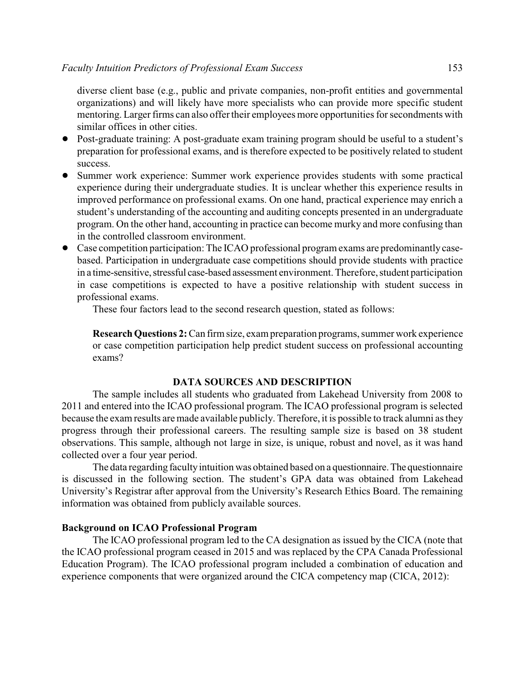diverse client base (e.g., public and private companies, non-profit entities and governmental organizations) and will likely have more specialists who can provide more specific student mentoring. Larger firms can also offer their employees more opportunities for secondments with similar offices in other cities.

- ! Post-graduate training: A post-graduate exam training program should be useful to a student's preparation for professional exams, and is therefore expected to be positively related to student success.
- ! Summer work experience: Summer work experience provides students with some practical experience during their undergraduate studies. It is unclear whether this experience results in improved performance on professional exams. On one hand, practical experience may enrich a student's understanding of the accounting and auditing concepts presented in an undergraduate program. On the other hand, accounting in practice can become murky and more confusing than in the controlled classroom environment.
- ! Case competition participation: The ICAO professional program exams are predominantly casebased. Participation in undergraduate case competitions should provide students with practice in a time-sensitive, stressful case-based assessment environment. Therefore, student participation in case competitions is expected to have a positive relationship with student success in professional exams.

These four factors lead to the second research question, stated as follows:

**Research Questions 2:** Can firm size, exam preparation programs, summer work experience or case competition participation help predict student success on professional accounting exams?

#### **DATA SOURCES AND DESCRIPTION**

The sample includes all students who graduated from Lakehead University from 2008 to 2011 and entered into the ICAO professional program. The ICAO professional program is selected because the exam results are made available publicly. Therefore, it is possible to track alumni as they progress through their professional careers. The resulting sample size is based on 38 student observations. This sample, although not large in size, is unique, robust and novel, as it was hand collected over a four year period.

The data regarding faculty intuition was obtained based on a questionnaire. The questionnaire is discussed in the following section. The student's GPA data was obtained from Lakehead University's Registrar after approval from the University's Research Ethics Board. The remaining information was obtained from publicly available sources.

#### **Background on ICAO Professional Program**

The ICAO professional program led to the CA designation as issued by the CICA (note that the ICAO professional program ceased in 2015 and was replaced by the CPA Canada Professional Education Program). The ICAO professional program included a combination of education and experience components that were organized around the CICA competency map (CICA, 2012):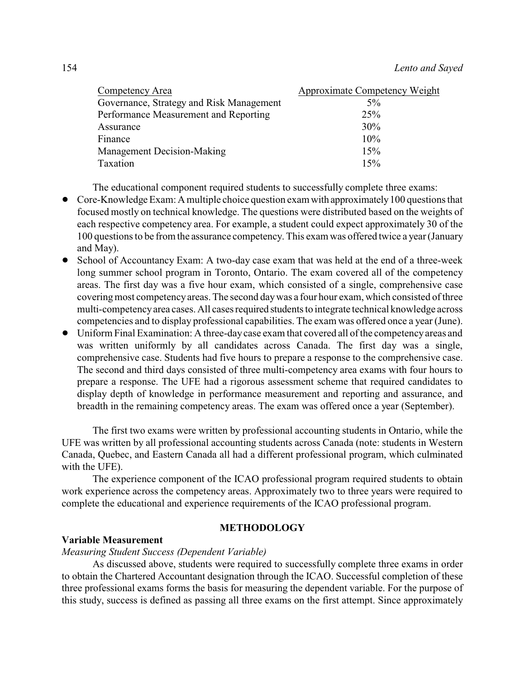| Competency Area                          | Approximate Competency Weight |
|------------------------------------------|-------------------------------|
| Governance, Strategy and Risk Management | $5\%$                         |
| Performance Measurement and Reporting    | 25%                           |
| Assurance                                | 30%                           |
| Finance                                  | 10%                           |
| Management Decision-Making               | 15%                           |
| Taxation                                 | 15%                           |

The educational component required students to successfully complete three exams:

- Core-Knowledge Exam: A multiple choice question exam with approximately 100 questions that focused mostly on technical knowledge. The questions were distributed based on the weights of each respective competency area. For example, a student could expect approximately 30 of the 100 questions to be from the assurance competency. This exam was offered twice a year (January and May).
- ! School of Accountancy Exam: A two-day case exam that was held at the end of a three-week long summer school program in Toronto, Ontario. The exam covered all of the competency areas. The first day was a five hour exam, which consisted of a single, comprehensive case covering most competency areas. The second day was a four hour exam, which consisted of three multi-competencyarea cases. All cases required students to integrate technical knowledge across competencies and to display professional capabilities. The exam was offered once a year (June).
- ! Uniform Final Examination: A three-daycase exam that covered all of the competencyareas and was written uniformly by all candidates across Canada. The first day was a single, comprehensive case. Students had five hours to prepare a response to the comprehensive case. The second and third days consisted of three multi-competency area exams with four hours to prepare a response. The UFE had a rigorous assessment scheme that required candidates to display depth of knowledge in performance measurement and reporting and assurance, and breadth in the remaining competency areas. The exam was offered once a year (September).

The first two exams were written by professional accounting students in Ontario, while the UFE was written by all professional accounting students across Canada (note: students in Western Canada, Quebec, and Eastern Canada all had a different professional program, which culminated with the UFE).

The experience component of the ICAO professional program required students to obtain work experience across the competency areas. Approximately two to three years were required to complete the educational and experience requirements of the ICAO professional program.

#### **METHODOLOGY**

#### **Variable Measurement**

#### *Measuring Student Success (Dependent Variable)*

As discussed above, students were required to successfully complete three exams in order to obtain the Chartered Accountant designation through the ICAO. Successful completion of these three professional exams forms the basis for measuring the dependent variable. For the purpose of this study, success is defined as passing all three exams on the first attempt. Since approximately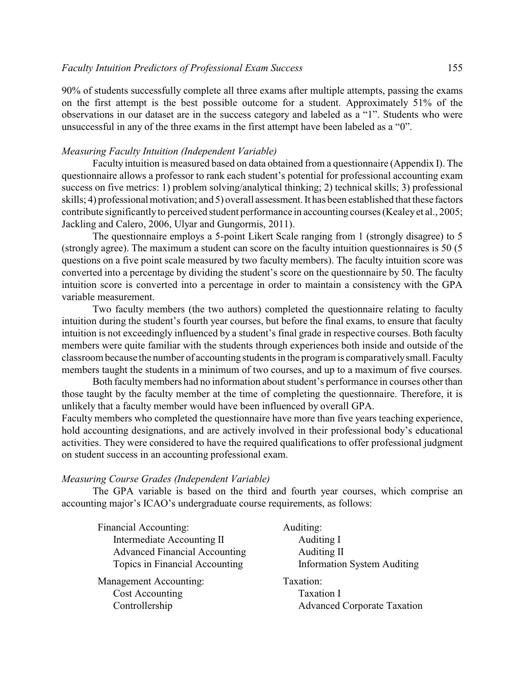90% of students successfully complete all three exams after multiple attempts, passing the exams on the first attempt is the best possible outcome for a student. Approximately 51% of the observations in our dataset are in the success category and labeled as a "1". Students who were unsuccessful in any of the three exams in the first attempt have been labeled as a "0".

#### *Measuring Faculty Intuition (Independent Variable)*

Faculty intuition is measured based on data obtained from a questionnaire (Appendix I). The questionnaire allows a professor to rank each student's potential for professional accounting exam success on five metrics: 1) problem solving/analytical thinking; 2) technical skills; 3) professional skills; 4) professional motivation; and 5) overall assessment. It has been established that these factors contribute significantly to perceived student performance in accounting courses (Kealeyet al., 2005; Jackling and Calero, 2006, Ulyar and Gungormis, 2011).

The questionnaire employs a 5-point Likert Scale ranging from 1 (strongly disagree) to 5 (strongly agree). The maximum a student can score on the faculty intuition questionnaires is 50 (5 questions on a five point scale measured by two faculty members). The faculty intuition score was converted into a percentage by dividing the student's score on the questionnaire by 50. The faculty intuition score is converted into a percentage in order to maintain a consistency with the GPA variable measurement.

Two faculty members (the two authors) completed the questionnaire relating to faculty intuition during the student's fourth year courses, but before the final exams, to ensure that faculty intuition is not exceedingly influenced by a student's final grade in respective courses. Both faculty members were quite familiar with the students through experiences both inside and outside of the classroom because the number of accounting students in the program is comparativelysmall. Faculty members taught the students in a minimum of two courses, and up to a maximum of five courses.

Both facultymembers had no information about student's performance in courses other than those taught by the faculty member at the time of completing the questionnaire. Therefore, it is unlikely that a faculty member would have been influenced by overall GPA.

Faculty members who completed the questionnaire have more than five years teaching experience, hold accounting designations, and are actively involved in their professional body's educational activities. They were considered to have the required qualifications to offer professional judgment on student success in an accounting professional exam.

#### *Measuring Course Grades (Independent Variable)*

The GPA variable is based on the third and fourth year courses, which comprise an accounting major's ICAO's undergraduate course requirements, as follows:

| Financial Accounting:                | Auditing:                          |
|--------------------------------------|------------------------------------|
| Intermediate Accounting II           | Auditing I                         |
| <b>Advanced Financial Accounting</b> | Auditing II                        |
| Topics in Financial Accounting       | <b>Information System Auditing</b> |
| Management Accounting:               | Taxation:                          |
| Cost Accounting                      | Taxation I                         |
| Controllership                       | <b>Advanced Corporate Taxation</b> |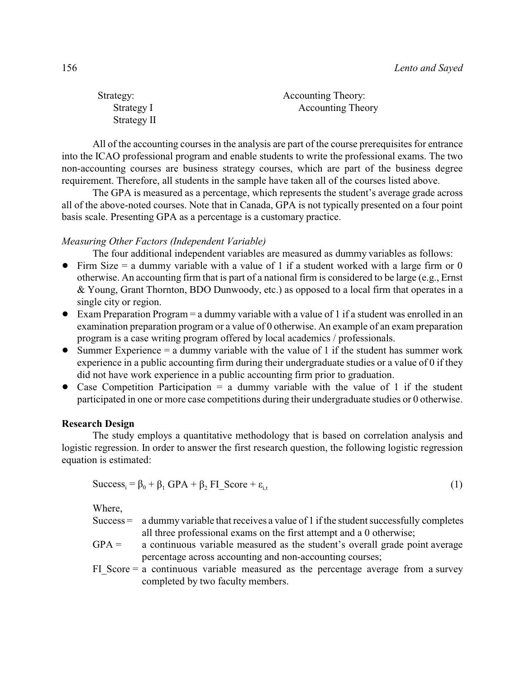| Strategy:   | Accounting Theory:       |
|-------------|--------------------------|
| Strategy I  | <b>Accounting Theory</b> |
| Strategy II |                          |

All of the accounting courses in the analysis are part of the course prerequisites for entrance into the ICAO professional program and enable students to write the professional exams. The two non-accounting courses are business strategy courses, which are part of the business degree requirement. Therefore, all students in the sample have taken all of the courses listed above.

The GPA is measured as a percentage, which represents the student's average grade across all of the above-noted courses. Note that in Canada, GPA is not typically presented on a four point basis scale. Presenting GPA as a percentage is a customary practice.

#### *Measuring Other Factors (Independent Variable)*

The four additional independent variables are measured as dummy variables as follows:

- $\bullet$  Firm Size = a dummy variable with a value of 1 if a student worked with a large firm or 0 otherwise. An accounting firm that is part of a national firm is considered to be large (e.g., Ernst & Young, Grant Thornton, BDO Dunwoody, etc.) as opposed to a local firm that operates in a single city or region.
- $\bullet$  Exam Preparation Program = a dummy variable with a value of 1 if a student was enrolled in an examination preparation program or a value of 0 otherwise. An example of an exam preparation program is a case writing program offered by local academics / professionals.
- Summer Experience  $=$  a dummy variable with the value of 1 if the student has summer work experience in a public accounting firm during their undergraduate studies or a value of 0 if they did not have work experience in a public accounting firm prior to graduation.
- Case Competition Participation  $=$  a dummy variable with the value of 1 if the student participated in one or more case competitions during their undergraduate studies or 0 otherwise.

#### **Research Design**

The study employs a quantitative methodology that is based on correlation analysis and logistic regression. In order to answer the first research question, the following logistic regression equation is estimated:

$$
Successi = \beta_0 + \beta_1 \text{ GPA} + \beta_2 \text{ FI\_Score} + \varepsilon_{i,t}
$$
 (1)

Where,

- Success = a dummy variable that receives a value of 1 if the student successfully completes all three professional exams on the first attempt and a 0 otherwise;
- $GPA =$  a continuous variable measured as the student's overall grade point average percentage across accounting and non-accounting courses;
- FI Score  $=$  a continuous variable measured as the percentage average from a survey completed by two faculty members.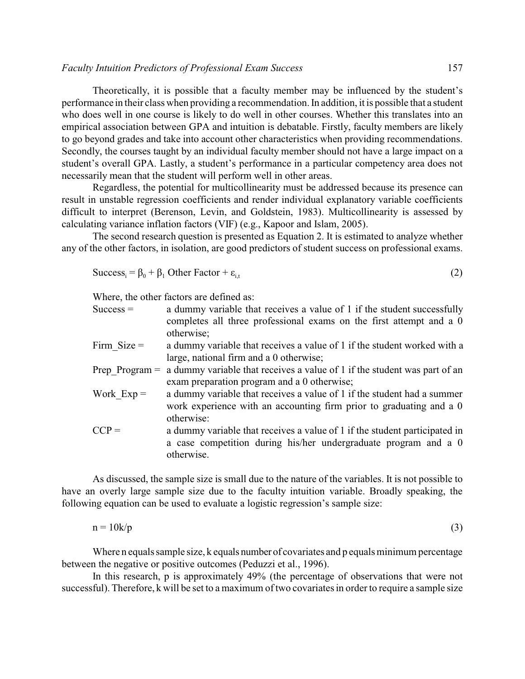Theoretically, it is possible that a faculty member may be influenced by the student's performance in their class when providing a recommendation. In addition, it is possible that a student who does well in one course is likely to do well in other courses. Whether this translates into an empirical association between GPA and intuition is debatable. Firstly, faculty members are likely to go beyond grades and take into account other characteristics when providing recommendations. Secondly, the courses taught by an individual faculty member should not have a large impact on a student's overall GPA. Lastly, a student's performance in a particular competency area does not necessarily mean that the student will perform well in other areas.

Regardless, the potential for multicollinearity must be addressed because its presence can result in unstable regression coefficients and render individual explanatory variable coefficients difficult to interpret (Berenson, Levin, and Goldstein, 1983). Multicollinearity is assessed by calculating variance inflation factors (VIF) (e.g., Kapoor and Islam, 2005).

The second research question is presented as Equation 2. It is estimated to analyze whether any of the other factors, in isolation, are good predictors of student success on professional exams.

$$
Successi = \beta_0 + \beta_1 Other Factor + \varepsilon_{i,t}
$$
 (2)

Where, the other factors are defined as:

| $Success =$      | a dummy variable that receives a value of 1 if the student successfully<br>completes all three professional exams on the first attempt and a 0<br>otherwise; |
|------------------|--------------------------------------------------------------------------------------------------------------------------------------------------------------|
| Firm $Size =$    | a dummy variable that receives a value of 1 if the student worked with a                                                                                     |
|                  | large, national firm and a 0 otherwise;                                                                                                                      |
| Prep Program $=$ | a dummy variable that receives a value of 1 if the student was part of an                                                                                    |
|                  | exam preparation program and a 0 otherwise;                                                                                                                  |
| Work $Exp =$     | a dummy variable that receives a value of 1 if the student had a summer                                                                                      |
|                  | work experience with an accounting firm prior to graduating and a 0<br>otherwise:                                                                            |
| $CCP =$          | a dummy variable that receives a value of 1 if the student participated in<br>a case competition during his/her undergraduate program and a 0<br>otherwise.  |
|                  |                                                                                                                                                              |

As discussed, the sample size is small due to the nature of the variables. It is not possible to have an overly large sample size due to the faculty intuition variable. Broadly speaking, the following equation can be used to evaluate a logistic regression's sample size:

$$
n = 10k/p \tag{3}
$$

Where n equals sample size, k equals number of covariates and p equals minimum percentage between the negative or positive outcomes (Peduzzi et al., 1996).

In this research, p is approximately 49% (the percentage of observations that were not successful). Therefore, k will be set to a maximum of two covariates in order to require a sample size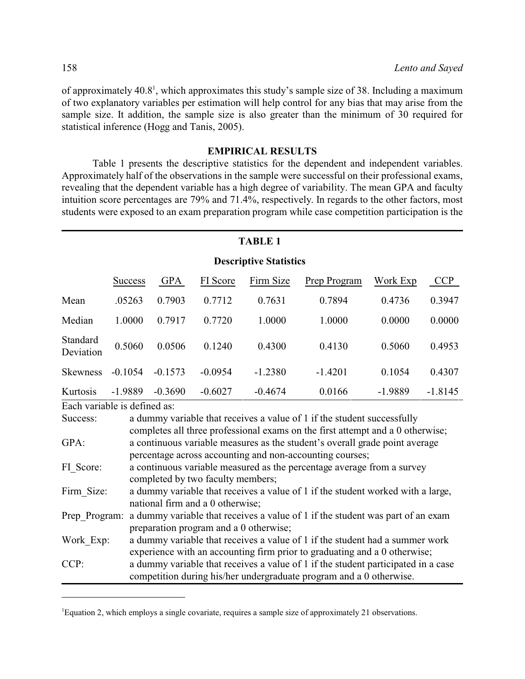of approximately 40.8<sup>1</sup>, which approximates this study's sample size of 38. Including a maximum of two explanatory variables per estimation will help control for any bias that may arise from the sample size. It addition, the sample size is also greater than the minimum of 30 required for statistical inference (Hogg and Tanis, 2005).

#### **EMPIRICAL RESULTS**

Table 1 presents the descriptive statistics for the dependent and independent variables. Approximately half of the observations in the sample were successful on their professional exams, revealing that the dependent variable has a high degree of variability. The mean GPA and faculty intuition score percentages are 79% and 71.4%, respectively. In regards to the other factors, most students were exposed to an exam preparation program while case competition participation is the

#### **TABLE 1**

|                       | <b>Descriptive Statistics</b> |            |           |           |              |           |            |  |  |
|-----------------------|-------------------------------|------------|-----------|-----------|--------------|-----------|------------|--|--|
|                       | <b>Success</b>                | <b>GPA</b> | FI Score  | Firm Size | Prep Program | Work Exp  | <b>CCP</b> |  |  |
| Mean                  | .05263                        | 0.7903     | 0.7712    | 0.7631    | 0.7894       | 0.4736    | 0.3947     |  |  |
| Median                | 1.0000                        | 0.7917     | 0.7720    | 1.0000    | 1.0000       | 0.0000    | 0.0000     |  |  |
| Standard<br>Deviation | 0.5060                        | 0.0506     | 0.1240    | 0.4300    | 0.4130       | 0.5060    | 0.4953     |  |  |
| <b>Skewness</b>       | $-0.1054$                     | $-0.1573$  | $-0.0954$ | $-1.2380$ | $-1.4201$    | 0.1054    | 0.4307     |  |  |
| Kurtosis              | $-1.9889$                     | $-0.3690$  | $-0.6027$ | $-0.4674$ | 0.0166       | $-1.9889$ | $-1.8145$  |  |  |

Each variable is defined as:

| Success:      | a dummy variable that receives a value of 1 if the student successfully           |
|---------------|-----------------------------------------------------------------------------------|
|               | completes all three professional exams on the first attempt and a 0 otherwise;    |
| GPA:          | a continuous variable measures as the student's overall grade point average       |
|               | percentage across accounting and non-accounting courses;                          |
| FI Score:     | a continuous variable measured as the percentage average from a survey            |
|               | completed by two faculty members;                                                 |
| Firm Size:    | a dummy variable that receives a value of 1 if the student worked with a large,   |
|               | national firm and a 0 otherwise;                                                  |
| Prep Program: | a dummy variable that receives a value of 1 if the student was part of an exam    |
|               | preparation program and a 0 otherwise;                                            |
| Work Exp:     | a dummy variable that receives a value of 1 if the student had a summer work      |
|               | experience with an accounting firm prior to graduating and a 0 otherwise;         |
| CCP:          | a dummy variable that receives a value of 1 if the student participated in a case |
|               | competition during his/her undergraduate program and a 0 otherwise.               |

<sup>1</sup>Equation 2, which employs a single covariate, requires a sample size of approximately 21 observations.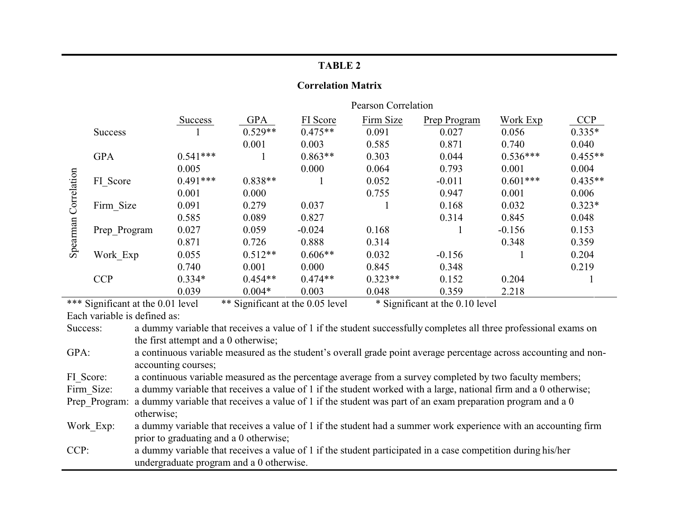#### **Correlation Matrix**

|             |                | <b>Pearson Correlation</b> |            |           |           |              |            |            |
|-------------|----------------|----------------------------|------------|-----------|-----------|--------------|------------|------------|
|             |                | <b>Success</b>             | <b>GPA</b> | FI Score  | Firm Size | Prep Program | Work Exp   | <b>CCP</b> |
|             | <b>Success</b> |                            | $0.529**$  | $0.475**$ | 0.091     | 0.027        | 0.056      | $0.335*$   |
|             |                |                            | 0.001      | 0.003     | 0.585     | 0.871        | 0.740      | 0.040      |
|             | <b>GPA</b>     | $0.541***$                 |            | $0.863**$ | 0.303     | 0.044        | $0.536***$ | $0.455**$  |
|             |                | 0.005                      |            | 0.000     | 0.064     | 0.793        | 0.001      | 0.004      |
| Correlation | FI Score       | $0.491***$                 | $0.838**$  |           | 0.052     | $-0.011$     | $0.601***$ | $0.435**$  |
|             |                | 0.001                      | 0.000      |           | 0.755     | 0.947        | 0.001      | 0.006      |
|             | Firm_Size      | 0.091                      | 0.279      | 0.037     |           | 0.168        | 0.032      | $0.323*$   |
|             |                | 0.585                      | 0.089      | 0.827     |           | 0.314        | 0.845      | 0.048      |
|             | Prep Program   | 0.027                      | 0.059      | $-0.024$  | 0.168     |              | $-0.156$   | 0.153      |
| Spearman    |                | 0.871                      | 0.726      | 0.888     | 0.314     |              | 0.348      | 0.359      |
|             | Work Exp       | 0.055                      | $0.512**$  | $0.606**$ | 0.032     | $-0.156$     |            | 0.204      |
|             |                | 0.740                      | 0.001      | 0.000     | 0.845     | 0.348        |            | 0.219      |
|             | <b>CCP</b>     | $0.334*$                   | $0.454**$  | $0.474**$ | $0.323**$ | 0.152        | 0.204      |            |
|             |                | 0.039                      | $0.004*$   | 0.003     | 0.048     | 0.359        | 2.218      |            |

\*\*\* Significant at the 0.01 level \*\* Significant at the 0.05 level \* Significant at the 0.10 level

Each variable is defined as:

GPA: a continuous variable measured as the student's overall grade point average percentage across accounting and nonaccounting courses;

FI\_Score: a continuous variable measured as the percentage average from a survey completed by two faculty members;

Firm Size: a dummy variable that receives a value of 1 if the student worked with a large, national firm and a 0 otherwise;

Prep Program: a dummy variable that receives a value of 1 if the student was part of an exam preparation program and a 0 otherwise;

Work Exp: a dummy variable that receives a value of 1 if the student had a summer work experience with an accounting firm prior to graduating and a 0 otherwise;

CCP: a dummy variable that receives a value of 1 if the student participated in a case competition during his/her undergraduate program and a 0 otherwise.

Success: a dummy variable that receives a value of 1 if the student successfully completes all three professional exams on the first attempt and a 0 otherwise;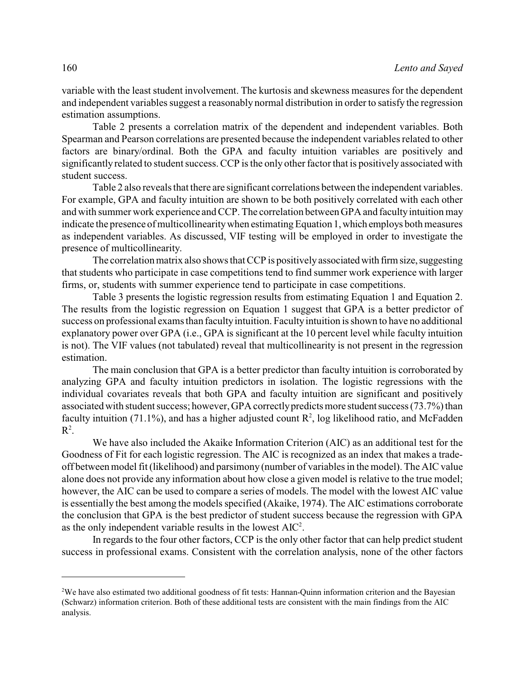variable with the least student involvement. The kurtosis and skewness measures for the dependent and independent variables suggest a reasonably normal distribution in order to satisfy the regression estimation assumptions.

Table 2 presents a correlation matrix of the dependent and independent variables. Both Spearman and Pearson correlations are presented because the independent variables related to other factors are binary/ordinal. Both the GPA and faculty intuition variables are positively and significantlyrelated to student success. CCP is the only other factor that is positively associated with student success.

Table 2 also reveals that there are significant correlations between the independent variables. For example, GPA and faculty intuition are shown to be both positively correlated with each other and with summer work experience and CCP. The correlation between GPA and faculty intuition may indicate the presence of multicollinearity when estimating Equation 1, which employs both measures as independent variables. As discussed, VIF testing will be employed in order to investigate the presence of multicollinearity.

The correlation matrix also shows that CCP is positively associated with firm size, suggesting that students who participate in case competitions tend to find summer work experience with larger firms, or, students with summer experience tend to participate in case competitions.

Table 3 presents the logistic regression results from estimating Equation 1 and Equation 2. The results from the logistic regression on Equation 1 suggest that GPA is a better predictor of success on professional exams than faculty intuition. Faculty intuition is shown to have no additional explanatory power over GPA (i.e., GPA is significant at the 10 percent level while faculty intuition is not). The VIF values (not tabulated) reveal that multicollinearity is not present in the regression estimation.

The main conclusion that GPA is a better predictor than faculty intuition is corroborated by analyzing GPA and faculty intuition predictors in isolation. The logistic regressions with the individual covariates reveals that both GPA and faculty intuition are significant and positively associated with student success; however, GPA correctly predicts more student success (73.7%) than faculty intuition (71.1%), and has a higher adjusted count  $\mathbb{R}^2$ , log likelihood ratio, and McFadden  $\mathbb{R}^2$ .

We have also included the Akaike Information Criterion (AIC) as an additional test for the Goodness of Fit for each logistic regression. The AIC is recognized as an index that makes a tradeoff between model fit (likelihood) and parsimony (number of variables in the model). The AIC value alone does not provide any information about how close a given model is relative to the true model; however, the AIC can be used to compare a series of models. The model with the lowest AIC value is essentially the best among the models specified (Akaike, 1974). The AIC estimations corroborate the conclusion that GPA is the best predictor of student success because the regression with GPA as the only independent variable results in the lowest  $AIC^2$ .

In regards to the four other factors, CCP is the only other factor that can help predict student success in professional exams. Consistent with the correlation analysis, none of the other factors

<sup>&</sup>lt;sup>2</sup>We have also estimated two additional goodness of fit tests: Hannan-Quinn information criterion and the Bayesian (Schwarz) information criterion. Both of these additional tests are consistent with the main findings from the AIC analysis.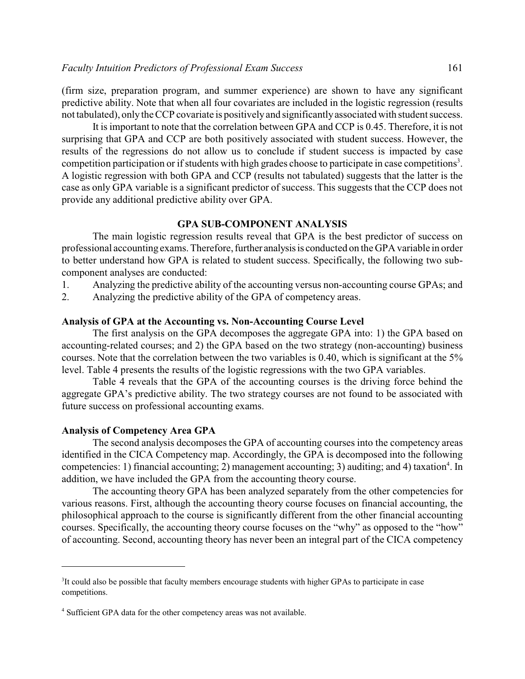(firm size, preparation program, and summer experience) are shown to have any significant predictive ability. Note that when all four covariates are included in the logistic regression (results not tabulated), onlythe CCP covariate is positivelyand significantlyassociated with student success.

It is important to note that the correlation between GPA and CCP is 0.45. Therefore, it is not surprising that GPA and CCP are both positively associated with student success. However, the results of the regressions do not allow us to conclude if student success is impacted by case competition participation or if students with high grades choose to participate in case competitions<sup>3</sup>. A logistic regression with both GPA and CCP (results not tabulated) suggests that the latter is the case as only GPA variable is a significant predictor of success. This suggests that the CCP does not provide any additional predictive ability over GPA.

#### **GPA SUB-COMPONENT ANALYSIS**

The main logistic regression results reveal that GPA is the best predictor of success on professional accounting exams. Therefore, further analysisis conducted on the GPA variable in order to better understand how GPA is related to student success. Specifically, the following two subcomponent analyses are conducted:

- 1. Analyzing the predictive ability of the accounting versus non-accounting course GPAs; and
- 2. Analyzing the predictive ability of the GPA of competency areas.

#### **Analysis of GPA at the Accounting vs. Non-Accounting Course Level**

The first analysis on the GPA decomposes the aggregate GPA into: 1) the GPA based on accounting-related courses; and 2) the GPA based on the two strategy (non-accounting) business courses. Note that the correlation between the two variables is 0.40, which is significant at the 5% level. Table 4 presents the results of the logistic regressions with the two GPA variables.

Table 4 reveals that the GPA of the accounting courses is the driving force behind the aggregate GPA's predictive ability. The two strategy courses are not found to be associated with future success on professional accounting exams.

#### **Analysis of Competency Area GPA**

The second analysis decomposes the GPA of accounting courses into the competency areas identified in the CICA Competency map. Accordingly, the GPA is decomposed into the following competencies: 1) financial accounting; 2) management accounting; 3) auditing; and 4) taxation<sup>4</sup>. In addition, we have included the GPA from the accounting theory course.

The accounting theory GPA has been analyzed separately from the other competencies for various reasons. First, although the accounting theory course focuses on financial accounting, the philosophical approach to the course is significantly different from the other financial accounting courses. Specifically, the accounting theory course focuses on the "why" as opposed to the "how" of accounting. Second, accounting theory has never been an integral part of the CICA competency

<sup>&</sup>lt;sup>3</sup>It could also be possible that faculty members encourage students with higher GPAs to participate in case competitions.

<sup>&</sup>lt;sup>4</sup> Sufficient GPA data for the other competency areas was not available.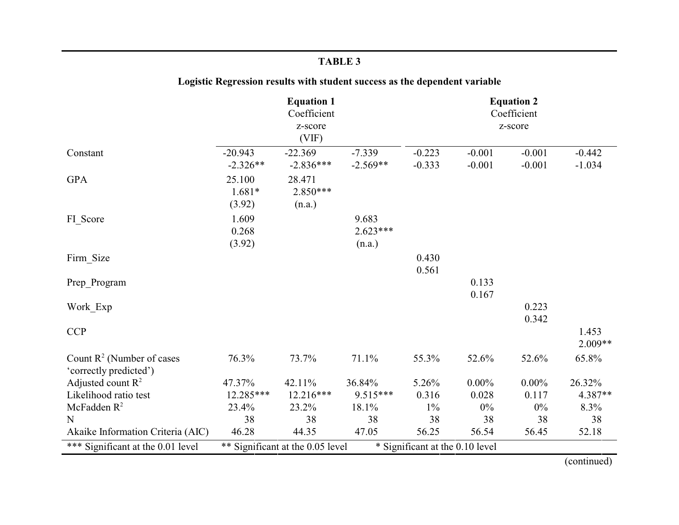## **Logistic Regression results with student success as the dependent variable**

|                                                        | <b>Equation 1</b><br>Coefficient<br>z-score<br>(VIF) |                                  |                               | <b>Equation 2</b><br>Coefficient<br>z-score |                      |                      |                      |
|--------------------------------------------------------|------------------------------------------------------|----------------------------------|-------------------------------|---------------------------------------------|----------------------|----------------------|----------------------|
| Constant                                               | $-20.943$<br>$-2.326**$                              | $-22.369$<br>$-2.836***$         | $-7.339$<br>$-2.569**$        | $-0.223$<br>$-0.333$                        | $-0.001$<br>$-0.001$ | $-0.001$<br>$-0.001$ | $-0.442$<br>$-1.034$ |
| <b>GPA</b>                                             | 25.100<br>$1.681*$<br>(3.92)                         | 28.471<br>$2.850***$<br>(n.a.)   |                               |                                             |                      |                      |                      |
| FI_Score                                               | 1.609<br>0.268<br>(3.92)                             |                                  | 9.683<br>$2.623***$<br>(n.a.) |                                             |                      |                      |                      |
| Firm_Size                                              |                                                      |                                  |                               | 0.430<br>0.561                              |                      |                      |                      |
| Prep Program                                           |                                                      |                                  |                               |                                             | 0.133<br>0.167       |                      |                      |
| Work Exp                                               |                                                      |                                  |                               |                                             |                      | 0.223<br>0.342       |                      |
| <b>CCP</b>                                             |                                                      |                                  |                               |                                             |                      |                      | 1.453<br>2.009**     |
| Count $R^2$ (Number of cases<br>'correctly predicted') | 76.3%                                                | 73.7%                            | 71.1%                         | 55.3%                                       | 52.6%                | 52.6%                | 65.8%                |
| Adjusted count $R^2$                                   | 47.37%                                               | 42.11%                           | 36.84%                        | 5.26%                                       | $0.00\%$             | $0.00\%$             | 26.32%               |
| Likelihood ratio test                                  | 12.285***                                            | $12.216***$                      | $9.515***$                    | 0.316                                       | 0.028                | 0.117                | 4.387**              |
| McFadden $R^2$                                         | 23.4%                                                | 23.2%                            | 18.1%                         | $1\%$                                       | $0\%$                | $0\%$                | 8.3%                 |
| N                                                      | 38                                                   | 38                               | 38                            | 38                                          | 38                   | 38                   | 38                   |
| Akaike Information Criteria (AIC)                      | 46.28                                                | 44.35                            | 47.05                         | 56.25                                       | 56.54                | 56.45                | 52.18                |
| *** Significant at the 0.01 level                      |                                                      | ** Significant at the 0.05 level |                               | * Significant at the 0.10 level             |                      |                      |                      |

(continued)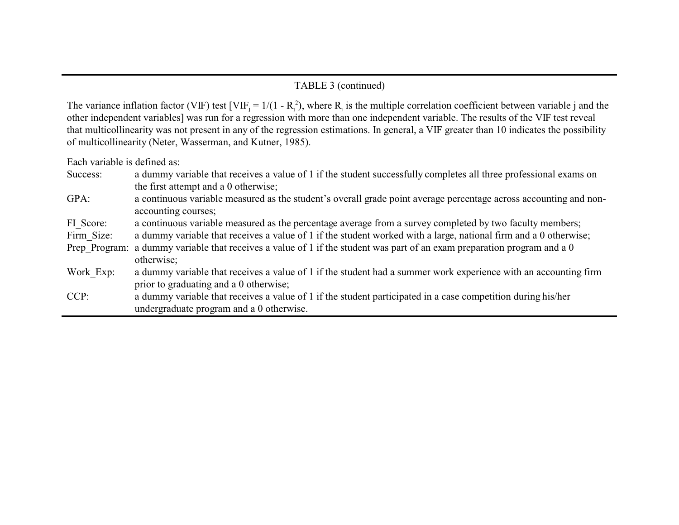#### TABLE 3 (continued)

The variance inflation factor (VIF) test [VIF<sub>j</sub> =  $1/(1 - R_j^2)$ , where  $R_j$  is the multiple correlation coefficient between variable j and the other independent variables] was run for a regression with more than one independent variable. The results of the VIF test reveal that multicollinearity was not present in any of the regression estimations. In general, a VIF greater than 10 indicates the possibility of multicollinearity (Neter, Wasserman, and Kutner, 1985).

Each variable is defined as:

| Success: | a dummy variable that receives a value of 1 if the student successfully completes all three professional exams on |
|----------|-------------------------------------------------------------------------------------------------------------------|
|          | the first attempt and a 0 otherwise;                                                                              |

GPA: a continuous variable measured as the student's overall grade point average percentage across accounting and nonaccounting courses;

FI\_Score: a continuous variable measured as the percentage average from a survey completed by two faculty members;

Firm Size: a dummy variable that receives a value of 1 if the student worked with a large, national firm and a 0 otherwise;

- Prep Program: a dummy variable that receives a value of 1 if the student was part of an exam preparation program and a 0 otherwise;
- Work Exp: a dummy variable that receives a value of 1 if the student had a summer work experience with an accounting firm prior to graduating and a 0 otherwise;
- CCP: a dummy variable that receives a value of 1 if the student participated in a case competition during his/her undergraduate program and a 0 otherwise.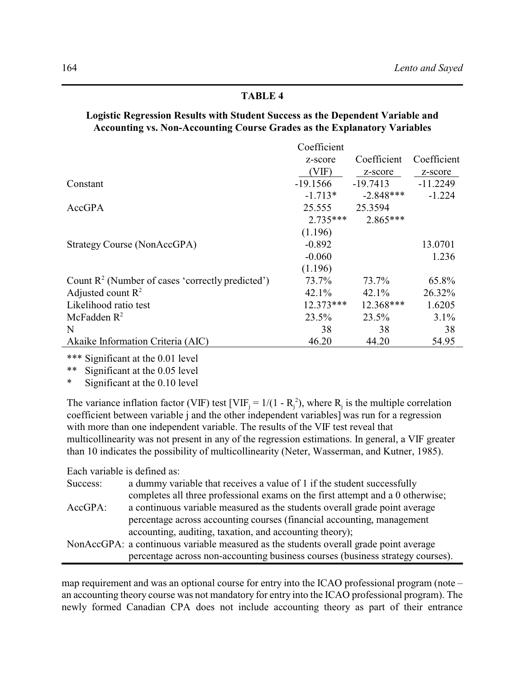#### **Logistic Regression Results with Student Success as the Dependent Variable and Accounting vs. Non-Accounting Course Grades as the Explanatory Variables**

|                                                              | Coefficient     |             |             |
|--------------------------------------------------------------|-----------------|-------------|-------------|
|                                                              | z-score         | Coefficient | Coefficient |
|                                                              | $V \mathrm{IF}$ | z-score     | z-score     |
| Constant                                                     | $-19.1566$      | $-19.7413$  | $-11.2249$  |
|                                                              | $-1.713*$       | $-2.848***$ | $-1.224$    |
| AccGPA                                                       | 25.555          | 25.3594     |             |
|                                                              | $2.735***$      | $2.865***$  |             |
|                                                              | (1.196)         |             |             |
| Strategy Course (NonAccGPA)                                  | $-0.892$        |             | 13.0701     |
|                                                              | $-0.060$        |             | 1.236       |
|                                                              | (1.196)         |             |             |
| Count $\mathbb{R}^2$ (Number of cases 'correctly predicted') | 73.7%           | 73.7%       | 65.8%       |
| Adjusted count $R^2$                                         | 42.1%           | 42.1%       | 26.32%      |
| Likelihood ratio test                                        | 12.373***       | 12.368***   | 1.6205      |
| McFadden $R^2$                                               | $23.5\%$        | 23.5%       | $3.1\%$     |
| N                                                            | 38              | 38          | 38          |
| Akaike Information Criteria (AIC)                            | 46.20           | 44.20       | 54.95       |

\*\*\* Significant at the 0.01 level<br>\*\* Significant at the 0.05 level

Significant at the 0.05 level

Significant at the 0.10 level

The variance inflation factor (VIF) test [VIF<sub>j</sub> =  $1/(1 - R_j^2)$ , where R<sub>j</sub> is the multiple correlation coefficient between variable j and the other independent variables] was run for a regression with more than one independent variable. The results of the VIF test reveal that multicollinearity was not present in any of the regression estimations. In general, a VIF greater than 10 indicates the possibility of multicollinearity (Neter, Wasserman, and Kutner, 1985).

Each variable is defined as:

| Success: | a dummy variable that receives a value of 1 if the student successfully               |
|----------|---------------------------------------------------------------------------------------|
|          | completes all three professional exams on the first attempt and a 0 otherwise;        |
| AccGPA:  | a continuous variable measured as the students overall grade point average            |
|          | percentage across accounting courses (financial accounting, management                |
|          | accounting, auditing, taxation, and accounting theory);                               |
|          | NonAccGPA: a continuous variable measured as the students overall grade point average |
|          | percentage across non-accounting business courses (business strategy courses).        |

map requirement and was an optional course for entry into the ICAO professional program (note – an accounting theory course was not mandatory for entry into the ICAO professional program). The newly formed Canadian CPA does not include accounting theory as part of their entrance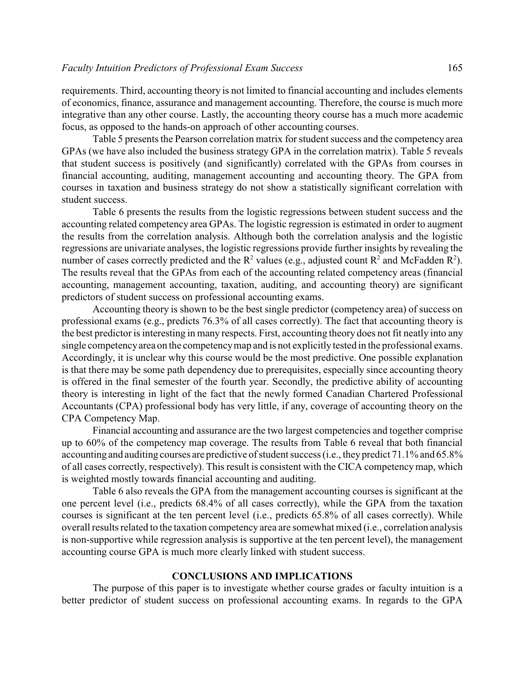requirements. Third, accounting theory is not limited to financial accounting and includes elements of economics, finance, assurance and management accounting. Therefore, the course is much more integrative than any other course. Lastly, the accounting theory course has a much more academic focus, as opposed to the hands-on approach of other accounting courses.

Table 5 presents the Pearson correlation matrix for student success and the competency area GPAs (we have also included the business strategy GPA in the correlation matrix). Table 5 reveals that student success is positively (and significantly) correlated with the GPAs from courses in financial accounting, auditing, management accounting and accounting theory. The GPA from courses in taxation and business strategy do not show a statistically significant correlation with student success.

Table 6 presents the results from the logistic regressions between student success and the accounting related competency area GPAs. The logistic regression is estimated in order to augment the results from the correlation analysis. Although both the correlation analysis and the logistic regressions are univariate analyses, the logistic regressions provide further insights by revealing the number of cases correctly predicted and the  $R^2$  values (e.g., adjusted count  $R^2$  and McFadden  $R^2$ ). The results reveal that the GPAs from each of the accounting related competency areas (financial accounting, management accounting, taxation, auditing, and accounting theory) are significant predictors of student success on professional accounting exams.

Accounting theory is shown to be the best single predictor (competency area) of success on professional exams (e.g., predicts 76.3% of all cases correctly). The fact that accounting theory is the best predictor is interesting in many respects. First, accounting theory does not fit neatly into any single competencyarea on the competencymap and is not explicitly tested in the professional exams. Accordingly, it is unclear why this course would be the most predictive. One possible explanation is that there may be some path dependency due to prerequisites, especially since accounting theory is offered in the final semester of the fourth year. Secondly, the predictive ability of accounting theory is interesting in light of the fact that the newly formed Canadian Chartered Professional Accountants (CPA) professional body has very little, if any, coverage of accounting theory on the CPA Competency Map.

Financial accounting and assurance are the two largest competencies and together comprise up to 60% of the competency map coverage. The results from Table 6 reveal that both financial accounting and auditing courses are predictive of student success (i.e., they predict 71.1% and 65.8% of all cases correctly, respectively). This result is consistent with the CICA competencymap, which is weighted mostly towards financial accounting and auditing.

Table 6 also reveals the GPA from the management accounting courses is significant at the one percent level (i.e., predicts 68.4% of all cases correctly), while the GPA from the taxation courses is significant at the ten percent level (i.e., predicts 65.8% of all cases correctly). While overall results related to the taxation competency area are somewhat mixed (i.e., correlation analysis is non-supportive while regression analysis is supportive at the ten percent level), the management accounting course GPA is much more clearly linked with student success.

#### **CONCLUSIONS AND IMPLICATIONS**

The purpose of this paper is to investigate whether course grades or faculty intuition is a better predictor of student success on professional accounting exams. In regards to the GPA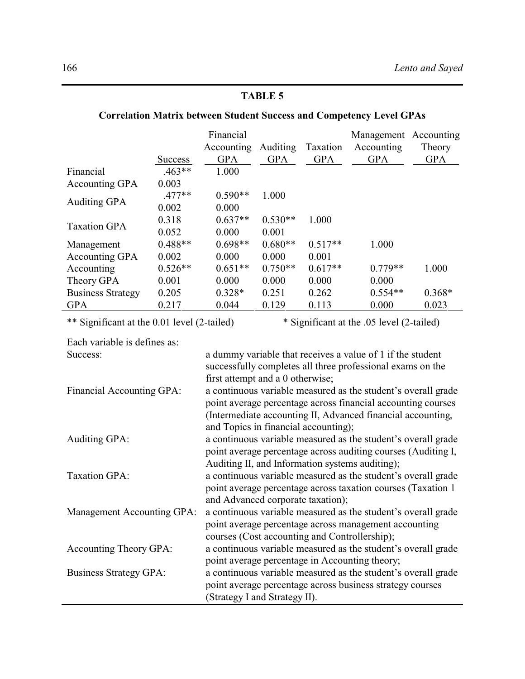| <b>Correlation Matrix between Student Success and Competency Level GPAs</b> |                |                                                                                                                  |                                                                                                                            |            |                                                               |            |  |  |  |
|-----------------------------------------------------------------------------|----------------|------------------------------------------------------------------------------------------------------------------|----------------------------------------------------------------------------------------------------------------------------|------------|---------------------------------------------------------------|------------|--|--|--|
|                                                                             |                | Financial<br>Accounting                                                                                          | <b>Auditing</b>                                                                                                            | Taxation   | Management Accounting<br>Accounting                           | Theory     |  |  |  |
|                                                                             | <b>Success</b> | <b>GPA</b>                                                                                                       | <b>GPA</b>                                                                                                                 | <b>GPA</b> | <b>GPA</b>                                                    | <b>GPA</b> |  |  |  |
| Financial                                                                   | $.463**$       | 1.000                                                                                                            |                                                                                                                            |            |                                                               |            |  |  |  |
| <b>Accounting GPA</b>                                                       | 0.003          |                                                                                                                  |                                                                                                                            |            |                                                               |            |  |  |  |
| <b>Auditing GPA</b>                                                         | $.477**$       | $0.590**$                                                                                                        | 1.000                                                                                                                      |            |                                                               |            |  |  |  |
|                                                                             | 0.002          | 0.000                                                                                                            |                                                                                                                            |            |                                                               |            |  |  |  |
| <b>Taxation GPA</b>                                                         | 0.318          | $0.637**$                                                                                                        | $0.530**$                                                                                                                  | 1.000      |                                                               |            |  |  |  |
|                                                                             | 0.052          | 0.000                                                                                                            | 0.001                                                                                                                      |            |                                                               |            |  |  |  |
| Management                                                                  | $0.488**$      | $0.698**$                                                                                                        | $0.680**$                                                                                                                  | $0.517**$  | 1.000                                                         |            |  |  |  |
| Accounting GPA                                                              | 0.002          | 0.000                                                                                                            | 0.000                                                                                                                      | 0.001      |                                                               |            |  |  |  |
| Accounting                                                                  | $0.526**$      | $0.651**$                                                                                                        | $0.750**$                                                                                                                  | $0.617**$  | $0.779**$                                                     | 1.000      |  |  |  |
| Theory GPA                                                                  | 0.001          | 0.000                                                                                                            | 0.000                                                                                                                      | 0.000      | 0.000                                                         |            |  |  |  |
| <b>Business Strategy</b>                                                    | 0.205          | $0.328*$                                                                                                         | 0.251                                                                                                                      | 0.262      | $0.554**$                                                     | $0.368*$   |  |  |  |
| <b>GPA</b>                                                                  | 0.217          | 0.044                                                                                                            | 0.129                                                                                                                      | 0.113      | 0.000                                                         | 0.023      |  |  |  |
| ** Significant at the 0.01 level (2-tailed)                                 |                |                                                                                                                  |                                                                                                                            |            | * Significant at the .05 level (2-tailed)                     |            |  |  |  |
| Each variable is defines as:                                                |                |                                                                                                                  |                                                                                                                            |            |                                                               |            |  |  |  |
| Success:                                                                    |                | a dummy variable that receives a value of 1 if the student                                                       |                                                                                                                            |            |                                                               |            |  |  |  |
|                                                                             |                |                                                                                                                  |                                                                                                                            |            | successfully completes all three professional exams on the    |            |  |  |  |
|                                                                             |                | first attempt and a 0 otherwise;                                                                                 |                                                                                                                            |            |                                                               |            |  |  |  |
| Financial Accounting GPA:                                                   |                | a continuous variable measured as the student's overall grade                                                    |                                                                                                                            |            |                                                               |            |  |  |  |
|                                                                             |                |                                                                                                                  | point average percentage across financial accounting courses                                                               |            |                                                               |            |  |  |  |
|                                                                             |                |                                                                                                                  | (Intermediate accounting II, Advanced financial accounting,                                                                |            |                                                               |            |  |  |  |
|                                                                             |                | and Topics in financial accounting);                                                                             |                                                                                                                            |            |                                                               |            |  |  |  |
| <b>Auditing GPA:</b>                                                        |                |                                                                                                                  |                                                                                                                            |            | a continuous variable measured as the student's overall grade |            |  |  |  |
|                                                                             |                | point average percentage across auditing courses (Auditing I,                                                    |                                                                                                                            |            |                                                               |            |  |  |  |
|                                                                             |                |                                                                                                                  |                                                                                                                            |            |                                                               |            |  |  |  |
| <b>Taxation GPA:</b>                                                        |                | Auditing II, and Information systems auditing);<br>a continuous variable measured as the student's overall grade |                                                                                                                            |            |                                                               |            |  |  |  |
|                                                                             |                | point average percentage across taxation courses (Taxation 1                                                     |                                                                                                                            |            |                                                               |            |  |  |  |
|                                                                             |                |                                                                                                                  |                                                                                                                            |            |                                                               |            |  |  |  |
| Management Accounting GPA:                                                  |                | and Advanced corporate taxation);<br>a continuous variable measured as the student's overall grade               |                                                                                                                            |            |                                                               |            |  |  |  |
|                                                                             |                | point average percentage across management accounting                                                            |                                                                                                                            |            |                                                               |            |  |  |  |
|                                                                             |                | courses (Cost accounting and Controllership);                                                                    |                                                                                                                            |            |                                                               |            |  |  |  |
| Accounting Theory GPA:                                                      |                |                                                                                                                  |                                                                                                                            |            | a continuous variable measured as the student's overall grade |            |  |  |  |
|                                                                             |                |                                                                                                                  |                                                                                                                            |            | point average percentage in Accounting theory;                |            |  |  |  |
|                                                                             |                |                                                                                                                  |                                                                                                                            |            |                                                               |            |  |  |  |
| <b>Business Strategy GPA:</b>                                               |                |                                                                                                                  | a continuous variable measured as the student's overall grade<br>point average percentage across business strategy courses |            |                                                               |            |  |  |  |
|                                                                             |                |                                                                                                                  |                                                                                                                            |            |                                                               |            |  |  |  |
|                                                                             |                | (Strategy I and Strategy II).                                                                                    |                                                                                                                            |            |                                                               |            |  |  |  |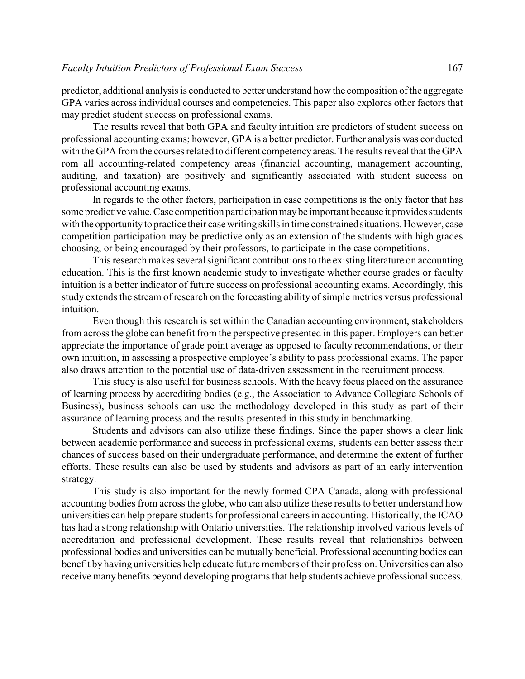predictor, additional analysis is conducted to better understand how the composition of the aggregate GPA varies across individual courses and competencies. This paper also explores other factors that may predict student success on professional exams.

The results reveal that both GPA and faculty intuition are predictors of student success on professional accounting exams; however, GPA is a better predictor. Further analysis was conducted with the GPA from the courses related to different competencyareas. The results reveal that the GPA rom all accounting-related competency areas (financial accounting, management accounting, auditing, and taxation) are positively and significantly associated with student success on professional accounting exams.

In regards to the other factors, participation in case competitions is the only factor that has some predictive value.Case competition participation maybe important because it provides students with the opportunity to practice their case writing skills in time constrained situations. However, case competition participation may be predictive only as an extension of the students with high grades choosing, or being encouraged by their professors, to participate in the case competitions.

This research makes several significant contributions to the existing literature on accounting education. This is the first known academic study to investigate whether course grades or faculty intuition is a better indicator of future success on professional accounting exams. Accordingly, this study extends the stream of research on the forecasting ability of simple metrics versus professional intuition.

Even though this research is set within the Canadian accounting environment, stakeholders from across the globe can benefit from the perspective presented in this paper. Employers can better appreciate the importance of grade point average as opposed to faculty recommendations, or their own intuition, in assessing a prospective employee's ability to pass professional exams. The paper also draws attention to the potential use of data-driven assessment in the recruitment process.

This study is also useful for business schools. With the heavy focus placed on the assurance of learning process by accrediting bodies (e.g., the Association to Advance Collegiate Schools of Business), business schools can use the methodology developed in this study as part of their assurance of learning process and the results presented in this study in benchmarking.

Students and advisors can also utilize these findings. Since the paper shows a clear link between academic performance and success in professional exams, students can better assess their chances of success based on their undergraduate performance, and determine the extent of further efforts. These results can also be used by students and advisors as part of an early intervention strategy.

This study is also important for the newly formed CPA Canada, along with professional accounting bodies from across the globe, who can also utilize these results to better understand how universities can help prepare students for professional careers in accounting. Historically, the ICAO has had a strong relationship with Ontario universities. The relationship involved various levels of accreditation and professional development. These results reveal that relationships between professional bodies and universities can be mutually beneficial. Professional accounting bodies can benefit by having universities help educate future members of their profession. Universities can also receive many benefits beyond developing programs that help students achieve professional success.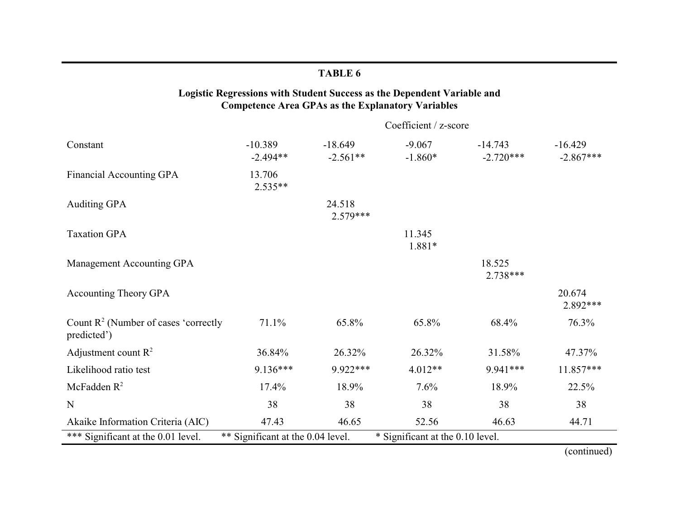| Logistic Regressions with Student Success as the Dependent Variable and<br><b>Competence Area GPAs as the Explanatory Variables</b> |                         |                         |                       |                          |                          |  |  |  |  |
|-------------------------------------------------------------------------------------------------------------------------------------|-------------------------|-------------------------|-----------------------|--------------------------|--------------------------|--|--|--|--|
|                                                                                                                                     |                         | Coefficient / z-score   |                       |                          |                          |  |  |  |  |
| Constant                                                                                                                            | $-10.389$<br>$-2.494**$ | $-18.649$<br>$-2.561**$ | $-9.067$<br>$-1.860*$ | $-14.743$<br>$-2.720***$ | $-16.429$<br>$-2.867***$ |  |  |  |  |
| <b>Financial Accounting GPA</b>                                                                                                     | 13.706<br>$2.535**$     |                         |                       |                          |                          |  |  |  |  |
| <b>Auditing GPA</b>                                                                                                                 |                         | 24.518<br>$2.579***$    |                       |                          |                          |  |  |  |  |
| <b>Taxation GPA</b>                                                                                                                 |                         |                         | 11.345<br>1.881*      |                          |                          |  |  |  |  |
| Management Accounting GPA                                                                                                           |                         |                         |                       | 18.525<br>$2.738***$     |                          |  |  |  |  |
| <b>Accounting Theory GPA</b>                                                                                                        |                         |                         |                       |                          | 20.674<br>2.892***       |  |  |  |  |
| Count $R^2$ (Number of cases 'correctly<br>predicted')                                                                              | 71.1%                   | 65.8%                   | 65.8%                 | 68.4%                    | 76.3%                    |  |  |  |  |
| Adjustment count $R^2$                                                                                                              | 36.84%                  | 26.32%                  | 26.32%                | 31.58%                   | 47.37%                   |  |  |  |  |
| Likelihood ratio test                                                                                                               | $9.136***$              | 9.922***                | $4.012**$             | 9.941***                 | 11.857***                |  |  |  |  |
| McFadden $R^2$                                                                                                                      | 17.4%                   | 18.9%                   | 7.6%                  | 18.9%                    | 22.5%                    |  |  |  |  |
| N                                                                                                                                   | 38                      | 38                      | 38                    | 38                       | 38                       |  |  |  |  |
| Akaike Information Criteria (AIC)                                                                                                   | 47.43                   | 46.65                   | 52.56                 | 46.63                    | 44.71                    |  |  |  |  |
| *** Significant at the 0.01 level.<br>** Significant at the 0.04 level.<br>* Significant at the 0.10 level.                         |                         |                         |                       |                          |                          |  |  |  |  |

(continued)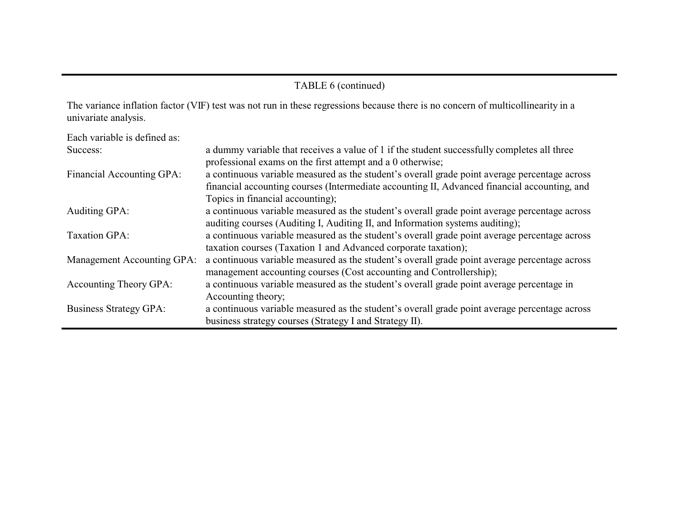## TABLE 6 (continued)

The variance inflation factor (VIF) test was not run in these regressions because there is no concern of multicollinearity in a univariate analysis.

| Each variable is defined as:  |                                                                                               |
|-------------------------------|-----------------------------------------------------------------------------------------------|
| Success:                      | a dummy variable that receives a value of 1 if the student successfully completes all three   |
|                               | professional exams on the first attempt and a 0 otherwise;                                    |
| Financial Accounting GPA:     | a continuous variable measured as the student's overall grade point average percentage across |
|                               | financial accounting courses (Intermediate accounting II, Advanced financial accounting, and  |
|                               | Topics in financial accounting);                                                              |
| Auditing GPA:                 | a continuous variable measured as the student's overall grade point average percentage across |
|                               | auditing courses (Auditing I, Auditing II, and Information systems auditing);                 |
| <b>Taxation GPA:</b>          | a continuous variable measured as the student's overall grade point average percentage across |
|                               | taxation courses (Taxation 1 and Advanced corporate taxation);                                |
| Management Accounting GPA:    | a continuous variable measured as the student's overall grade point average percentage across |
|                               | management accounting courses (Cost accounting and Controllership);                           |
| Accounting Theory GPA:        | a continuous variable measured as the student's overall grade point average percentage in     |
|                               | Accounting theory;                                                                            |
| <b>Business Strategy GPA:</b> | a continuous variable measured as the student's overall grade point average percentage across |
|                               | business strategy courses (Strategy I and Strategy II).                                       |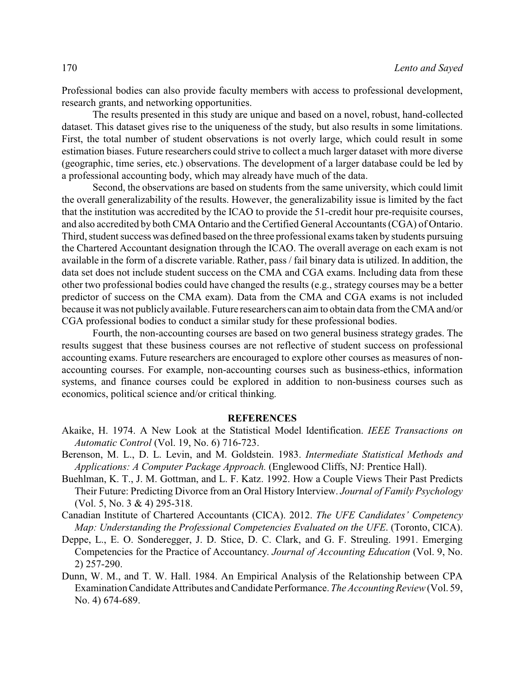Professional bodies can also provide faculty members with access to professional development, research grants, and networking opportunities.

The results presented in this study are unique and based on a novel, robust, hand-collected dataset. This dataset gives rise to the uniqueness of the study, but also results in some limitations. First, the total number of student observations is not overly large, which could result in some estimation biases. Future researchers could strive to collect a much larger dataset with more diverse (geographic, time series, etc.) observations. The development of a larger database could be led by a professional accounting body, which may already have much of the data.

Second, the observations are based on students from the same university, which could limit the overall generalizability of the results. However, the generalizability issue is limited by the fact that the institution was accredited by the ICAO to provide the 51-credit hour pre-requisite courses, and also accredited by both CMA Ontario and the Certified General Accountants (CGA) of Ontario. Third, student success was defined based on the three professional exams taken by students pursuing the Chartered Accountant designation through the ICAO. The overall average on each exam is not available in the form of a discrete variable. Rather, pass / fail binary data is utilized. In addition, the data set does not include student success on the CMA and CGA exams. Including data from these other two professional bodies could have changed the results (e.g., strategy courses may be a better predictor of success on the CMA exam). Data from the CMA and CGA exams is not included because it was not publiclyavailable. Future researchers can aim to obtain data from the CMA and/or CGA professional bodies to conduct a similar study for these professional bodies.

Fourth, the non-accounting courses are based on two general business strategy grades. The results suggest that these business courses are not reflective of student success on professional accounting exams. Future researchers are encouraged to explore other courses as measures of nonaccounting courses. For example, non-accounting courses such as business-ethics, information systems, and finance courses could be explored in addition to non-business courses such as economics, political science and/or critical thinking.

#### **REFERENCES**

- Akaike, H. 1974. A New Look at the Statistical Model Identification. *IEEE Transactions on Automatic Control* (Vol. 19, No. 6) 716-723.
- Berenson, M. L., D. L. Levin, and M. Goldstein. 1983. *Intermediate Statistical Methods and Applications: A Computer Package Approach.* (Englewood Cliffs, NJ: Prentice Hall).
- Buehlman, K. T., J. M. Gottman, and L. F. Katz. 1992. How a Couple Views Their Past Predicts Their Future: Predicting Divorce from an Oral History Interview. *Journal of Family Psychology* (Vol. 5, No. 3 & 4) 295-318.
- Canadian Institute of Chartered Accountants (CICA). 2012. *The UFE Candidates' Competency Map: Understanding the Professional Competencies Evaluated on the UFE*. (Toronto, CICA).
- Deppe, L., E. O. Sonderegger, J. D. Stice, D. C. Clark, and G. F. Streuling. 1991. Emerging Competencies for the Practice of Accountancy. *Journal of Accounting Education* (Vol. 9, No. 2) 257-290.
- Dunn, W. M., and T. W. Hall. 1984. An Empirical Analysis of the Relationship between CPA Examination Candidate Attributes and Candidate Performance. *The Accounting Review*(Vol. 59, No. 4) 674-689.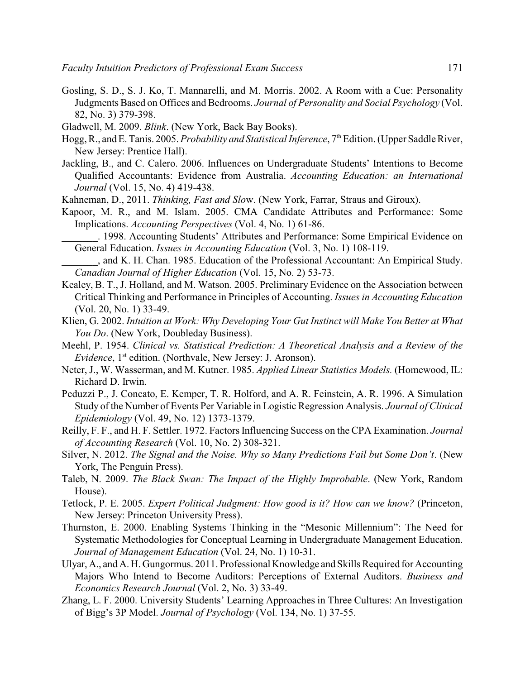- Gosling, S. D., S. J. Ko, T. Mannarelli, and M. Morris. 2002. A Room with a Cue: Personality Judgments Based on Offices and Bedrooms. *Journal of Personality and Social Psychology* (Vol. 82, No. 3) 379-398.
- Gladwell, M. 2009. *Blink*. (New York, Back Bay Books).
- Hogg, R., and E. Tanis. 2005. *Probability and Statistical Inference*, 7<sup>th</sup> Edition. (Upper Saddle River, New Jersey: Prentice Hall).
- Jackling, B., and C. Calero. 2006. Influences on Undergraduate Students' Intentions to Become Qualified Accountants: Evidence from Australia. *Accounting Education: an International Journal* (Vol. 15, No. 4) 419-438.
- Kahneman, D., 2011. *Thinking, Fast and Slo*w. (New York, Farrar, Straus and Giroux).
- Kapoor, M. R., and M. Islam. 2005. CMA Candidate Attributes and Performance: Some Implications. *Accounting Perspectives* (Vol. 4, No. 1) 61-86.

\_\_\_\_\_\_\_. 1998. Accounting Students' Attributes and Performance: Some Empirical Evidence on General Education. *Issues in Accounting Education* (Vol. 3, No. 1) 108-119.

- \_\_\_\_\_\_\_, and K. H. Chan. 1985. Education of the Professional Accountant: An Empirical Study. *Canadian Journal of Higher Education* (Vol. 15, No. 2) 53-73.
- Kealey, B. T., J. Holland, and M. Watson. 2005. Preliminary Evidence on the Association between Critical Thinking and Performance in Principles of Accounting. *Issues in Accounting Education* (Vol. 20, No. 1) 33-49.
- Klien, G. 2002. *Intuition at Work: Why Developing Your Gut Instinct will Make You Better at What You Do*. (New York, Doubleday Business).
- Meehl, P. 1954. *Clinical vs. Statistical Prediction: A Theoretical Analysis and a Review of the* Evidence, 1<sup>st</sup> edition. (Northvale, New Jersey: J. Aronson).
- Neter, J., W. Wasserman, and M. Kutner. 1985. *Applied Linear Statistics Models.* (Homewood, IL: Richard D. Irwin.
- Peduzzi P., J. Concato, E. Kemper, T. R. Holford, and A. R. Feinstein, A. R. 1996. A Simulation Study of the Number of Events Per Variable in Logistic Regression Analysis. *Journal of Clinical Epidemiology* (Vol. 49, No. 12) 1373-1379.
- Reilly, F. F., and H. F. Settler. 1972. Factors Influencing Success on the CPA Examination. *Journal of Accounting Research* (Vol. 10, No. 2) 308-321.
- Silver, N. 2012. *The Signal and the Noise. Why so Many Predictions Fail but Some Don't*. (New York, The Penguin Press).
- Taleb, N. 2009. *The Black Swan: The Impact of the Highly Improbable*. (New York, Random House).
- Tetlock, P. E. 2005. *Expert Political Judgment: How good is it? How can we know?* (Princeton, New Jersey: Princeton University Press).
- Thurnston, E. 2000. Enabling Systems Thinking in the "Mesonic Millennium": The Need for Systematic Methodologies for Conceptual Learning in Undergraduate Management Education. *Journal of Management Education* (Vol. 24, No. 1) 10-31.
- Ulyar, A., and A. H. Gungormus. 2011. Professional Knowledge and Skills Required for Accounting Majors Who Intend to Become Auditors: Perceptions of External Auditors. *Business and Economics Research Journal* (Vol. 2, No. 3) 33-49.
- Zhang, L. F. 2000. University Students' Learning Approaches in Three Cultures: An Investigation of Bigg's 3P Model. *Journal of Psychology* (Vol. 134, No. 1) 37-55.